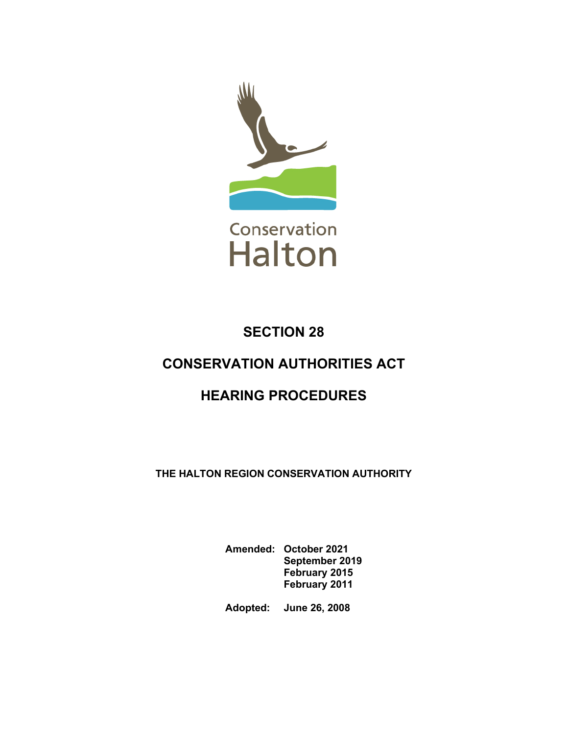

# **SECTION 28**

# **CONSERVATION AUTHORITIES ACT**

# **HEARING PROCEDURES**

**THE HALTON REGION CONSERVATION AUTHORITY** 

**Amended: October 2021 September 2019 February 2015 February 2011**

**Adopted: June 26, 2008**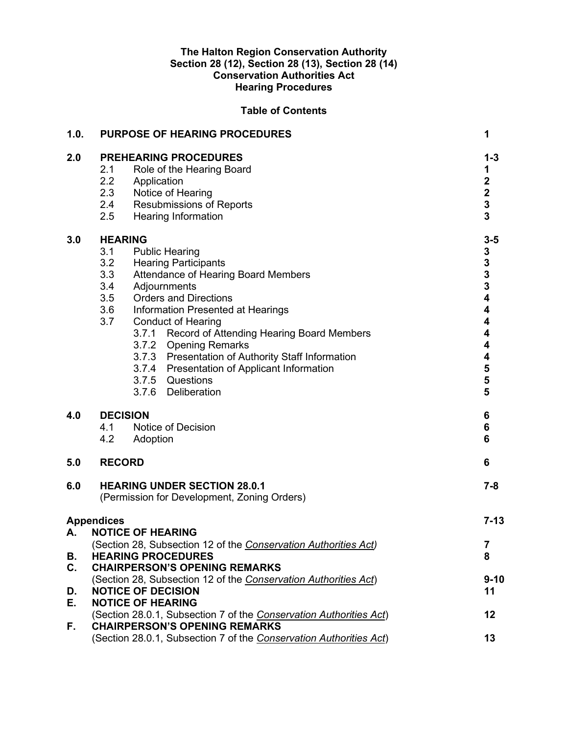#### **The Halton Region Conservation Authority Section 28 (12), Section 28 (13), Section 28 (14) Conservation Authorities Act Hearing Procedures**

## **Table of Contents**

| 1.0.                 | <b>PURPOSE OF HEARING PROCEDURES</b>                                                                                                                                                                                                                                                                                                                                                                                                                                                                      | 1                                                                                                                                                                         |  |
|----------------------|-----------------------------------------------------------------------------------------------------------------------------------------------------------------------------------------------------------------------------------------------------------------------------------------------------------------------------------------------------------------------------------------------------------------------------------------------------------------------------------------------------------|---------------------------------------------------------------------------------------------------------------------------------------------------------------------------|--|
| 2.0                  | <b>PREHEARING PROCEDURES</b><br>2.1<br>Role of the Hearing Board<br>2.2<br>Application<br>2.3<br>Notice of Hearing<br>2.4<br><b>Resubmissions of Reports</b><br>2.5<br><b>Hearing Information</b>                                                                                                                                                                                                                                                                                                         | $1 - 3$<br>1<br>$\begin{array}{c} 2 \\ 2 \\ 3 \\ 3 \end{array}$                                                                                                           |  |
| 3.0                  | <b>HEARING</b><br>3.1<br><b>Public Hearing</b><br>3.2<br><b>Hearing Participants</b><br>3.3<br>Attendance of Hearing Board Members<br>3.4<br>Adjournments<br>3.5<br><b>Orders and Directions</b><br>3.6<br>Information Presented at Hearings<br>3.7<br><b>Conduct of Hearing</b><br>3.7.1 Record of Attending Hearing Board Members<br>3.7.2 Opening Remarks<br>3.7.3 Presentation of Authority Staff Information<br>3.7.4 Presentation of Applicant Information<br>3.7.5 Questions<br>3.7.6 Deliberation | $3-5$<br>$\begin{array}{c} 3 \\ 3 \\ 3 \\ 4 \end{array}$<br>$\overline{\mathbf{4}}$<br>4<br>$\overline{\mathbf{4}}$<br>$\overline{\mathbf{4}}$<br>4<br>$\frac{5}{5}$<br>5 |  |
| 4.0                  | <b>DECISION</b><br>4.1<br>Notice of Decision<br>4.2<br>Adoption                                                                                                                                                                                                                                                                                                                                                                                                                                           | 6<br>$\bf 6$<br>6                                                                                                                                                         |  |
| 5.0                  | <b>RECORD</b>                                                                                                                                                                                                                                                                                                                                                                                                                                                                                             | 6                                                                                                                                                                         |  |
| 6.0                  | <b>HEARING UNDER SECTION 28.0.1</b><br>$7 - 8$<br>(Permission for Development, Zoning Orders)                                                                                                                                                                                                                                                                                                                                                                                                             |                                                                                                                                                                           |  |
| А.                   | <b>Appendices</b><br><b>NOTICE OF HEARING</b>                                                                                                                                                                                                                                                                                                                                                                                                                                                             | $7 - 13$                                                                                                                                                                  |  |
| В.<br>$\mathbf{C}$ . | (Section 28, Subsection 12 of the Conservation Authorities Act)<br><b>HEARING PROCEDURES</b><br><b>CHAIRPERSON'S OPENING REMARKS</b>                                                                                                                                                                                                                                                                                                                                                                      | 7<br>8                                                                                                                                                                    |  |
| D.                   | (Section 28, Subsection 12 of the Conservation Authorities Act)<br><b>NOTICE OF DECISION</b><br><b>NOTICE OF HEARING</b>                                                                                                                                                                                                                                                                                                                                                                                  | $9 - 10$<br>11                                                                                                                                                            |  |
| Е.                   | (Section 28.0.1, Subsection 7 of the Conservation Authorities Act)                                                                                                                                                                                                                                                                                                                                                                                                                                        | 12                                                                                                                                                                        |  |
| F.                   | <b>CHAIRPERSON'S OPENING REMARKS</b><br>(Section 28.0.1, Subsection 7 of the Conservation Authorities Act)<br>13                                                                                                                                                                                                                                                                                                                                                                                          |                                                                                                                                                                           |  |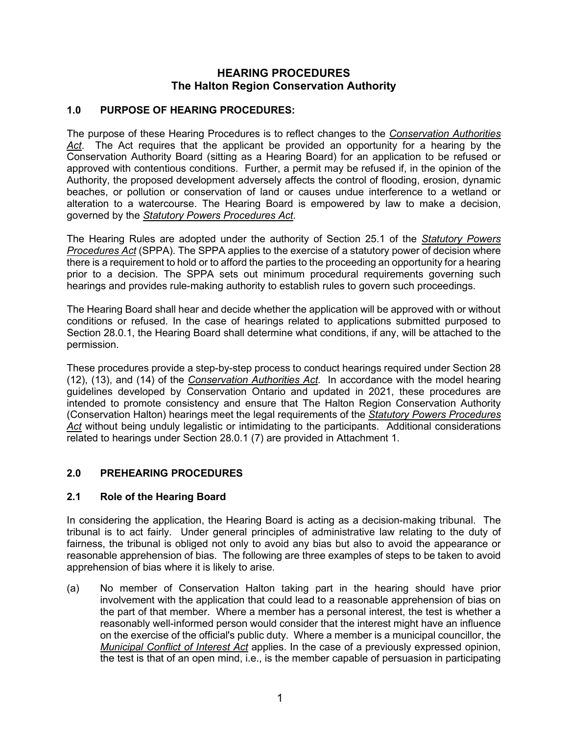## **HEARING PROCEDURES The Halton Region Conservation Authority**

## **1.0 PURPOSE OF HEARING PROCEDURES:**

The purpose of these Hearing Procedures is to reflect changes to the *Conservation Authorities Act*. The Act requires that the applicant be provided an opportunity for a hearing by the Conservation Authority Board (sitting as a Hearing Board) for an application to be refused or approved with contentious conditions. Further, a permit may be refused if, in the opinion of the Authority, the proposed development adversely affects the control of flooding, erosion, dynamic beaches, or pollution or conservation of land or causes undue interference to a wetland or alteration to a watercourse. The Hearing Board is empowered by law to make a decision, governed by the *Statutory Powers Procedures Act.*

The Hearing Rules are adopted under the authority of Section 25.1 of the *Statutory Powers Procedures Act* (SPPA). The SPPA applies to the exercise of a statutory power of decision where there is a requirement to hold or to afford the parties to the proceeding an opportunity for a hearing prior to a decision. The SPPA sets out minimum procedural requirements governing such hearings and provides rule-making authority to establish rules to govern such proceedings.

The Hearing Board shall hear and decide whether the application will be approved with or without conditions or refused. In the case of hearings related to applications submitted purposed to Section 28.0.1, the Hearing Board shall determine what conditions, if any, will be attached to the permission.

These procedures provide a step-by-step process to conduct hearings required under Section 28 (12), (13), and (14) of the *Conservation Authorities Act.* In accordance with the model hearing guidelines developed by Conservation Ontario and updated in 2021, these procedures are intended to promote consistency and ensure that The Halton Region Conservation Authority (Conservation Halton) hearings meet the legal requirements of the *Statutory Powers Procedures Act* without being unduly legalistic or intimidating to the participants. Additional considerations related to hearings under Section 28.0.1 (7) are provided in Attachment 1.

#### **2.0 PREHEARING PROCEDURES**

#### **2.1 Role of the Hearing Board**

In considering the application, the Hearing Board is acting as a decision-making tribunal. The tribunal is to act fairly. Under general principles of administrative law relating to the duty of fairness, the tribunal is obliged not only to avoid any bias but also to avoid the appearance or reasonable apprehension of bias. The following are three examples of steps to be taken to avoid apprehension of bias where it is likely to arise.

(a) No member of Conservation Halton taking part in the hearing should have prior involvement with the application that could lead to a reasonable apprehension of bias on the part of that member. Where a member has a personal interest, the test is whether a reasonably well-informed person would consider that the interest might have an influence on the exercise of the official's public duty. Where a member is a municipal councillor, the *Municipal Conflict of Interest Act* applies. In the case of a previously expressed opinion, the test is that of an open mind, i.e., is the member capable of persuasion in participating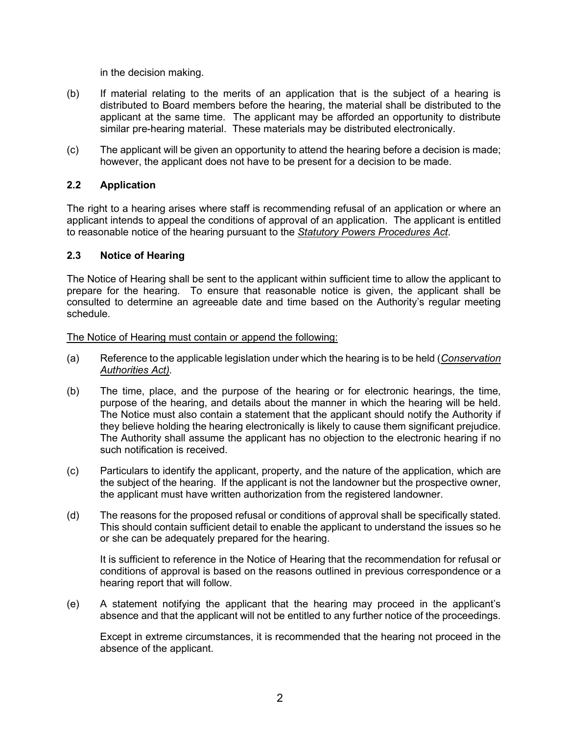in the decision making.

- (b) If material relating to the merits of an application that is the subject of a hearing is distributed to Board members before the hearing, the material shall be distributed to the applicant at the same time. The applicant may be afforded an opportunity to distribute similar pre-hearing material. These materials may be distributed electronically.
- (c) The applicant will be given an opportunity to attend the hearing before a decision is made; however, the applicant does not have to be present for a decision to be made.

#### **2.2 Application**

The right to a hearing arises where staff is recommending refusal of an application or where an applicant intends to appeal the conditions of approval of an application. The applicant is entitled to reasonable notice of the hearing pursuant to the *Statutory Powers Procedures Act*.

#### **2.3 Notice of Hearing**

The Notice of Hearing shall be sent to the applicant within sufficient time to allow the applicant to prepare for the hearing. To ensure that reasonable notice is given, the applicant shall be consulted to determine an agreeable date and time based on the Authority's regular meeting schedule.

#### The Notice of Hearing must contain or append the following:

- (a) Reference to the applicable legislation under which the hearing is to be held (*Conservation Authorities Act).*
- (b) The time, place, and the purpose of the hearing or for electronic hearings, the time, purpose of the hearing, and details about the manner in which the hearing will be held. The Notice must also contain a statement that the applicant should notify the Authority if they believe holding the hearing electronically is likely to cause them significant prejudice. The Authority shall assume the applicant has no objection to the electronic hearing if no such notification is received.
- (c) Particulars to identify the applicant, property, and the nature of the application, which are the subject of the hearing. If the applicant is not the landowner but the prospective owner, the applicant must have written authorization from the registered landowner.
- (d) The reasons for the proposed refusal or conditions of approval shall be specifically stated. This should contain sufficient detail to enable the applicant to understand the issues so he or she can be adequately prepared for the hearing.

It is sufficient to reference in the Notice of Hearing that the recommendation for refusal or conditions of approval is based on the reasons outlined in previous correspondence or a hearing report that will follow.

(e) A statement notifying the applicant that the hearing may proceed in the applicant's absence and that the applicant will not be entitled to any further notice of the proceedings.

Except in extreme circumstances, it is recommended that the hearing not proceed in the absence of the applicant.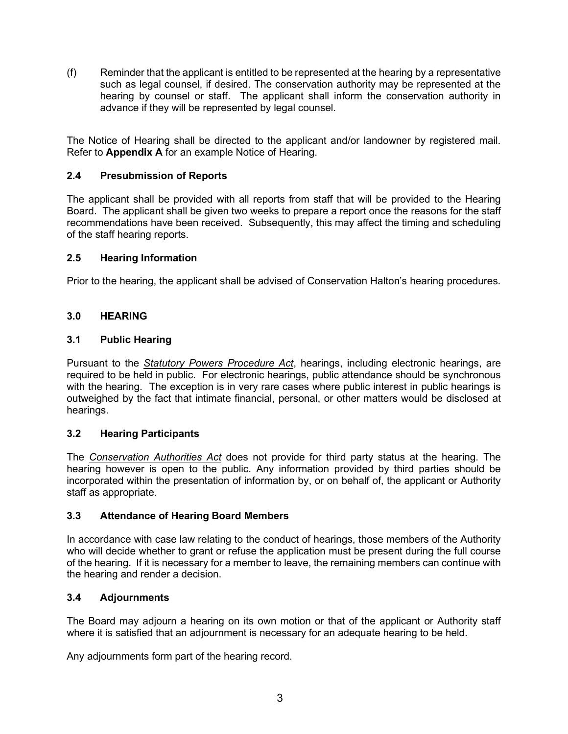(f) Reminder that the applicant is entitled to be represented at the hearing by a representative such as legal counsel, if desired. The conservation authority may be represented at the hearing by counsel or staff. The applicant shall inform the conservation authority in advance if they will be represented by legal counsel.

The Notice of Hearing shall be directed to the applicant and/or landowner by registered mail. Refer to **Appendix A** for an example Notice of Hearing.

## **2.4 Presubmission of Reports**

The applicant shall be provided with all reports from staff that will be provided to the Hearing Board. The applicant shall be given two weeks to prepare a report once the reasons for the staff recommendations have been received. Subsequently, this may affect the timing and scheduling of the staff hearing reports.

#### **2.5 Hearing Information**

Prior to the hearing, the applicant shall be advised of Conservation Halton's hearing procedures.

#### **3.0 HEARING**

#### **3.1 Public Hearing**

Pursuant to the *Statutory Powers Procedure Act*, hearings, including electronic hearings, are required to be held in public. For electronic hearings, public attendance should be synchronous with the hearing. The exception is in very rare cases where public interest in public hearings is outweighed by the fact that intimate financial, personal, or other matters would be disclosed at hearings.

#### **3.2 Hearing Participants**

The *Conservation Authorities Act* does not provide for third party status at the hearing. The hearing however is open to the public. Any information provided by third parties should be incorporated within the presentation of information by, or on behalf of, the applicant or Authority staff as appropriate.

#### **3.3 Attendance of Hearing Board Members**

In accordance with case law relating to the conduct of hearings, those members of the Authority who will decide whether to grant or refuse the application must be present during the full course of the hearing. If it is necessary for a member to leave, the remaining members can continue with the hearing and render a decision.

#### **3.4 Adjournments**

The Board may adjourn a hearing on its own motion or that of the applicant or Authority staff where it is satisfied that an adjournment is necessary for an adequate hearing to be held.

Any adjournments form part of the hearing record.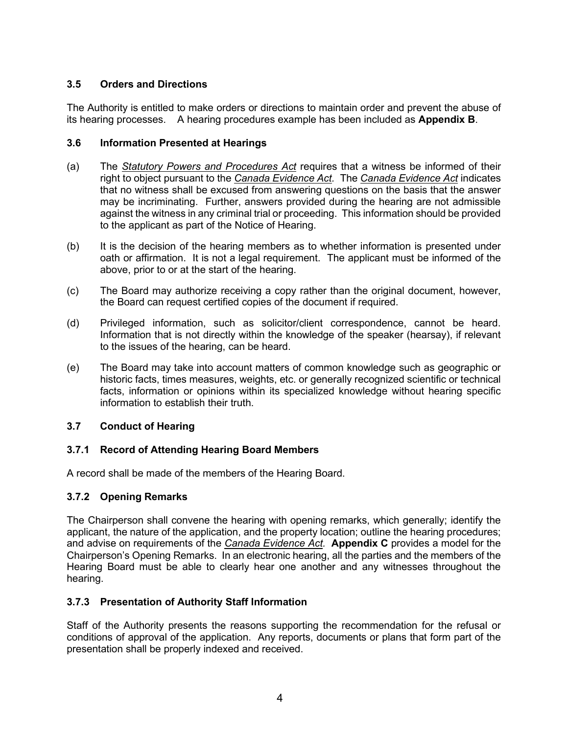## **3.5 Orders and Directions**

The Authority is entitled to make orders or directions to maintain order and prevent the abuse of its hearing processes. A hearing procedures example has been included as **Appendix B**.

#### **3.6 Information Presented at Hearings**

- (a) The *Statutory Powers and Procedures Act* requires that a witness be informed of their right to object pursuant to the *Canada Evidence Act.* The *Canada Evidence Act* indicates that no witness shall be excused from answering questions on the basis that the answer may be incriminating. Further, answers provided during the hearing are not admissible against the witness in any criminal trial or proceeding. This information should be provided to the applicant as part of the Notice of Hearing.
- (b) It is the decision of the hearing members as to whether information is presented under oath or affirmation. It is not a legal requirement. The applicant must be informed of the above, prior to or at the start of the hearing.
- (c) The Board may authorize receiving a copy rather than the original document, however, the Board can request certified copies of the document if required.
- (d) Privileged information, such as solicitor/client correspondence, cannot be heard. Information that is not directly within the knowledge of the speaker (hearsay), if relevant to the issues of the hearing, can be heard.
- (e) The Board may take into account matters of common knowledge such as geographic or historic facts, times measures, weights, etc. or generally recognized scientific or technical facts, information or opinions within its specialized knowledge without hearing specific information to establish their truth.

#### **3.7 Conduct of Hearing**

## **3.7.1 Record of Attending Hearing Board Members**

A record shall be made of the members of the Hearing Board.

#### **3.7.2 Opening Remarks**

The Chairperson shall convene the hearing with opening remarks, which generally; identify the applicant, the nature of the application, and the property location; outline the hearing procedures; and advise on requirements of the *Canada Evidence Act.* **Appendix C** provides a model for the Chairperson's Opening Remarks. In an electronic hearing, all the parties and the members of the Hearing Board must be able to clearly hear one another and any witnesses throughout the hearing.

## **3.7.3 Presentation of Authority Staff Information**

Staff of the Authority presents the reasons supporting the recommendation for the refusal or conditions of approval of the application. Any reports, documents or plans that form part of the presentation shall be properly indexed and received.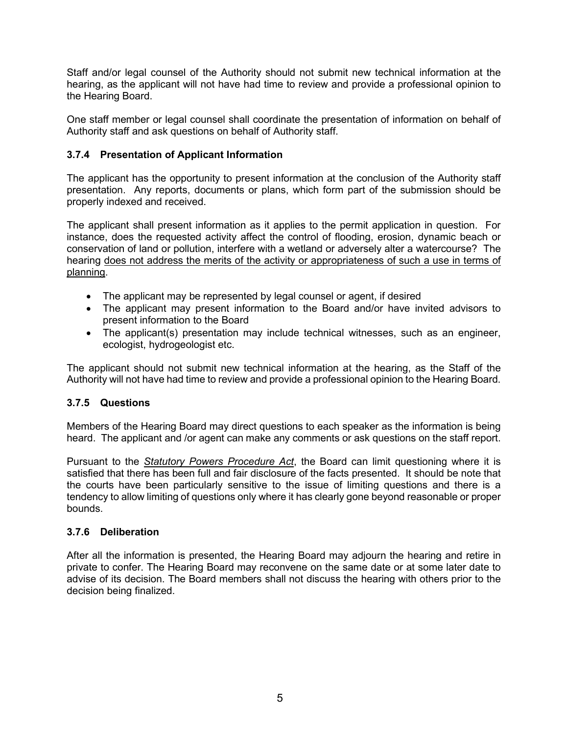Staff and/or legal counsel of the Authority should not submit new technical information at the hearing, as the applicant will not have had time to review and provide a professional opinion to the Hearing Board.

One staff member or legal counsel shall coordinate the presentation of information on behalf of Authority staff and ask questions on behalf of Authority staff.

#### **3.7.4 Presentation of Applicant Information**

The applicant has the opportunity to present information at the conclusion of the Authority staff presentation. Any reports, documents or plans, which form part of the submission should be properly indexed and received.

The applicant shall present information as it applies to the permit application in question. For instance, does the requested activity affect the control of flooding, erosion, dynamic beach or conservation of land or pollution, interfere with a wetland or adversely alter a watercourse? The hearing does not address the merits of the activity or appropriateness of such a use in terms of planning.

- The applicant may be represented by legal counsel or agent, if desired
- The applicant may present information to the Board and/or have invited advisors to present information to the Board
- The applicant(s) presentation may include technical witnesses, such as an engineer, ecologist, hydrogeologist etc.

The applicant should not submit new technical information at the hearing, as the Staff of the Authority will not have had time to review and provide a professional opinion to the Hearing Board.

#### **3.7.5 Questions**

Members of the Hearing Board may direct questions to each speaker as the information is being heard. The applicant and /or agent can make any comments or ask questions on the staff report.

Pursuant to the *Statutory Powers Procedure Act*, the Board can limit questioning where it is satisfied that there has been full and fair disclosure of the facts presented. It should be note that the courts have been particularly sensitive to the issue of limiting questions and there is a tendency to allow limiting of questions only where it has clearly gone beyond reasonable or proper bounds.

#### **3.7.6 Deliberation**

After all the information is presented, the Hearing Board may adjourn the hearing and retire in private to confer. The Hearing Board may reconvene on the same date or at some later date to advise of its decision. The Board members shall not discuss the hearing with others prior to the decision being finalized.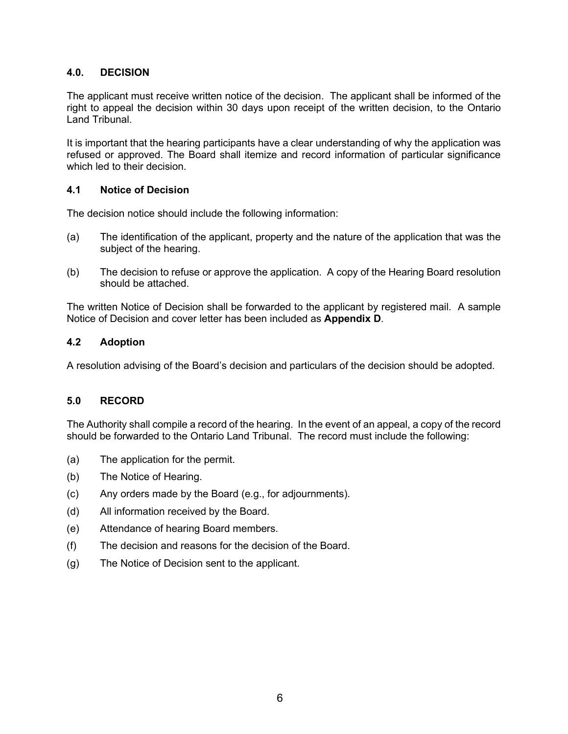#### **4.0. DECISION**

The applicant must receive written notice of the decision. The applicant shall be informed of the right to appeal the decision within 30 days upon receipt of the written decision, to the Ontario Land Tribunal.

It is important that the hearing participants have a clear understanding of why the application was refused or approved. The Board shall itemize and record information of particular significance which led to their decision.

#### **4.1 Notice of Decision**

The decision notice should include the following information:

- (a) The identification of the applicant, property and the nature of the application that was the subject of the hearing.
- (b) The decision to refuse or approve the application. A copy of the Hearing Board resolution should be attached.

The written Notice of Decision shall be forwarded to the applicant by registered mail. A sample Notice of Decision and cover letter has been included as **Appendix D**.

#### **4.2 Adoption**

A resolution advising of the Board's decision and particulars of the decision should be adopted.

#### **5.0 RECORD**

The Authority shall compile a record of the hearing. In the event of an appeal, a copy of the record should be forwarded to the Ontario Land Tribunal. The record must include the following:

- (a) The application for the permit.
- (b) The Notice of Hearing.
- (c) Any orders made by the Board (e.g., for adjournments).
- (d) All information received by the Board.
- (e) Attendance of hearing Board members.
- (f) The decision and reasons for the decision of the Board.
- (g) The Notice of Decision sent to the applicant.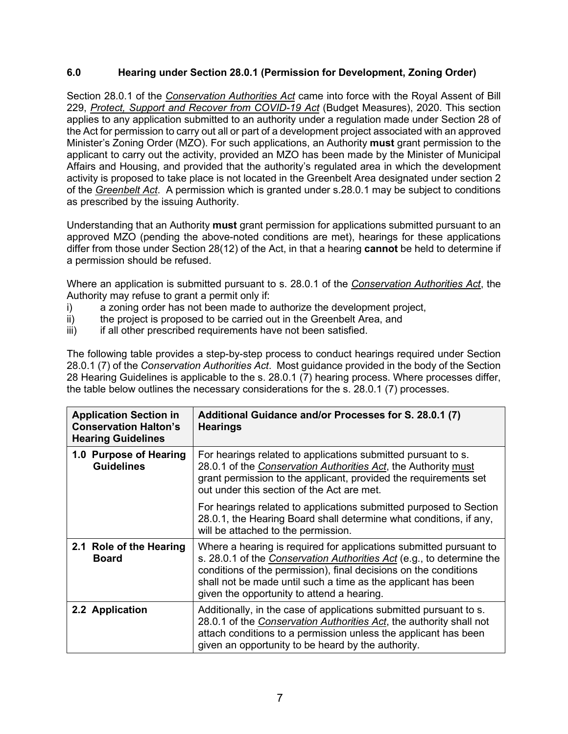#### **6.0 Hearing under Section 28.0.1 (Permission for Development, Zoning Order)**

Section 28.0.1 of the *Conservation Authorities Act* came into force with the Royal Assent of Bill 229, *Protect, Support and Recover from COVID-19 Act* (Budget Measures), 2020. This section applies to any application submitted to an authority under a regulation made under Section 28 of the Act for permission to carry out all or part of a development project associated with an approved Minister's Zoning Order (MZO). For such applications, an Authority **must** grant permission to the applicant to carry out the activity, provided an MZO has been made by the Minister of Municipal Affairs and Housing, and provided that the authority's regulated area in which the development activity is proposed to take place is not located in the Greenbelt Area designated under section 2 of the *Greenbelt Act*. A permission which is granted under s.28.0.1 may be subject to conditions as prescribed by the issuing Authority.

Understanding that an Authority **must** grant permission for applications submitted pursuant to an approved MZO (pending the above-noted conditions are met), hearings for these applications differ from those under Section 28(12) of the Act, in that a hearing **cannot** be held to determine if a permission should be refused.

Where an application is submitted pursuant to s. 28.0.1 of the *Conservation Authorities Act*, the Authority may refuse to grant a permit only if:

- i) a zoning order has not been made to authorize the development project,
- ii) the project is proposed to be carried out in the Greenbelt Area, and
- iii) iii) if all other prescribed requirements have not been satisfied.

The following table provides a step-by-step process to conduct hearings required under Section 28.0.1 (7) of the *Conservation Authorities Act*. Most guidance provided in the body of the Section 28 Hearing Guidelines is applicable to the s. 28.0.1 (7) hearing process. Where processes differ, the table below outlines the necessary considerations for the s. 28.0.1 (7) processes.

| <b>Application Section in</b><br><b>Conservation Halton's</b><br><b>Hearing Guidelines</b> | Additional Guidance and/or Processes for S. 28.0.1 (7)<br><b>Hearings</b>                                                                                                                                                                                                                                                             |
|--------------------------------------------------------------------------------------------|---------------------------------------------------------------------------------------------------------------------------------------------------------------------------------------------------------------------------------------------------------------------------------------------------------------------------------------|
| 1.0 Purpose of Hearing<br><b>Guidelines</b>                                                | For hearings related to applications submitted pursuant to s.<br>28.0.1 of the Conservation Authorities Act, the Authority must<br>grant permission to the applicant, provided the requirements set<br>out under this section of the Act are met.                                                                                     |
|                                                                                            | For hearings related to applications submitted purposed to Section<br>28.0.1, the Hearing Board shall determine what conditions, if any,<br>will be attached to the permission.                                                                                                                                                       |
| 2.1 Role of the Hearing<br><b>Board</b>                                                    | Where a hearing is required for applications submitted pursuant to<br>s. 28.0.1 of the <i>Conservation Authorities Act</i> (e.g., to determine the<br>conditions of the permission), final decisions on the conditions<br>shall not be made until such a time as the applicant has been<br>given the opportunity to attend a hearing. |
| 2.2 Application                                                                            | Additionally, in the case of applications submitted pursuant to s.<br>28.0.1 of the Conservation Authorities Act, the authority shall not<br>attach conditions to a permission unless the applicant has been<br>given an opportunity to be heard by the authority.                                                                    |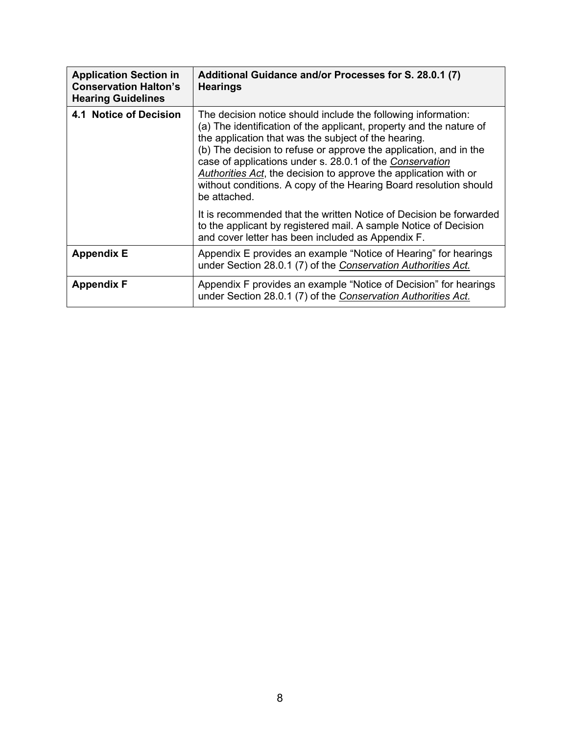| <b>Application Section in</b><br><b>Conservation Halton's</b><br><b>Hearing Guidelines</b> | Additional Guidance and/or Processes for S. 28.0.1 (7)<br><b>Hearings</b>                                                                                                                                                                                                                                                                                                                                                                                                              |
|--------------------------------------------------------------------------------------------|----------------------------------------------------------------------------------------------------------------------------------------------------------------------------------------------------------------------------------------------------------------------------------------------------------------------------------------------------------------------------------------------------------------------------------------------------------------------------------------|
| 4.1 Notice of Decision                                                                     | The decision notice should include the following information:<br>(a) The identification of the applicant, property and the nature of<br>the application that was the subject of the hearing.<br>(b) The decision to refuse or approve the application, and in the<br>case of applications under s. 28.0.1 of the Conservation<br>Authorities Act, the decision to approve the application with or<br>without conditions. A copy of the Hearing Board resolution should<br>be attached. |
|                                                                                            | It is recommended that the written Notice of Decision be forwarded<br>to the applicant by registered mail. A sample Notice of Decision<br>and cover letter has been included as Appendix F.                                                                                                                                                                                                                                                                                            |
| <b>Appendix E</b>                                                                          | Appendix E provides an example "Notice of Hearing" for hearings<br>under Section 28.0.1 (7) of the Conservation Authorities Act.                                                                                                                                                                                                                                                                                                                                                       |
| <b>Appendix F</b>                                                                          | Appendix F provides an example "Notice of Decision" for hearings<br>under Section 28.0.1 (7) of the Conservation Authorities Act.                                                                                                                                                                                                                                                                                                                                                      |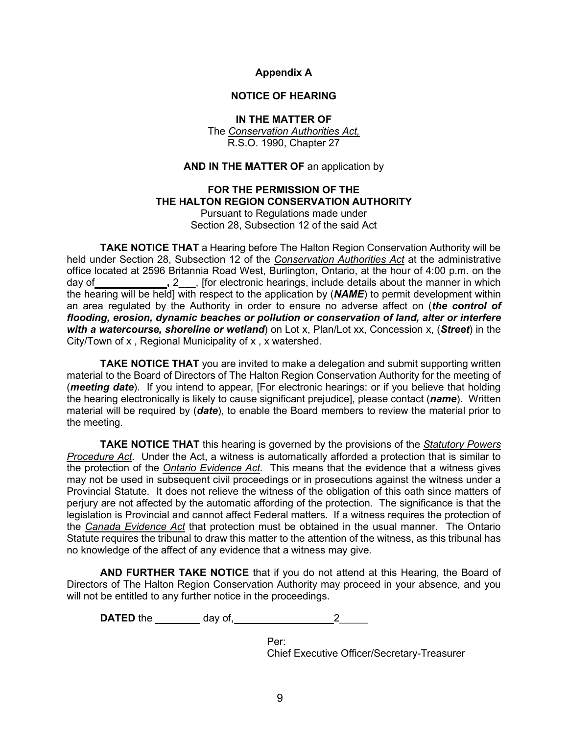#### **Appendix A**

#### **NOTICE OF HEARING**

#### **IN THE MATTER OF**

The *Conservation Authorities Act,* R.S.O. 1990, Chapter 27

#### **AND IN THE MATTER OF** an application by

## **FOR THE PERMISSION OF THE THE HALTON REGION CONSERVATION AUTHORITY**

Pursuant to Regulations made under Section 28, Subsection 12 of the said Act

**TAKE NOTICE THAT** a Hearing before The Halton Region Conservation Authority will be held under Section 28, Subsection 12 of the *Conservation Authorities Act* at the administrative office located at 2596 Britannia Road West, Burlington, Ontario, at the hour of 4:00 p.m. on the day of **12**, **2**, [for electronic hearings, include details about the manner in which the hearing will be held] with respect to the application by (*NAME*) to permit development within an area regulated by the Authority in order to ensure no adverse affect on (*the control of flooding, erosion, dynamic beaches or pollution or conservation of land, alter or interfere with a watercourse, shoreline or wetland*) on Lot x, Plan/Lot xx, Concession x, (*Street*) in the City/Town of x , Regional Municipality of x , x watershed.

**TAKE NOTICE THAT** you are invited to make a delegation and submit supporting written material to the Board of Directors of The Halton Region Conservation Authority for the meeting of (*meeting date*). If you intend to appear, [For electronic hearings: or if you believe that holding the hearing electronically is likely to cause significant prejudice], please contact (*name*). Written material will be required by (*date*), to enable the Board members to review the material prior to the meeting.

**TAKE NOTICE THAT** this hearing is governed by the provisions of the *Statutory Powers Procedure Act.* Under the Act, a witness is automatically afforded a protection that is similar to the protection of the *Ontario Evidence Act.* This means that the evidence that a witness gives may not be used in subsequent civil proceedings or in prosecutions against the witness under a Provincial Statute. It does not relieve the witness of the obligation of this oath since matters of perjury are not affected by the automatic affording of the protection. The significance is that the legislation is Provincial and cannot affect Federal matters. If a witness requires the protection of the *Canada Evidence Act* that protection must be obtained in the usual manner. The Ontario Statute requires the tribunal to draw this matter to the attention of the witness, as this tribunal has no knowledge of the affect of any evidence that a witness may give.

**AND FURTHER TAKE NOTICE** that if you do not attend at this Hearing, the Board of Directors of The Halton Region Conservation Authority may proceed in your absence, and you will not be entitled to any further notice in the proceedings.

**DATED** the day of, 2\_\_\_\_\_

Per: Chief Executive Officer/Secretary-Treasurer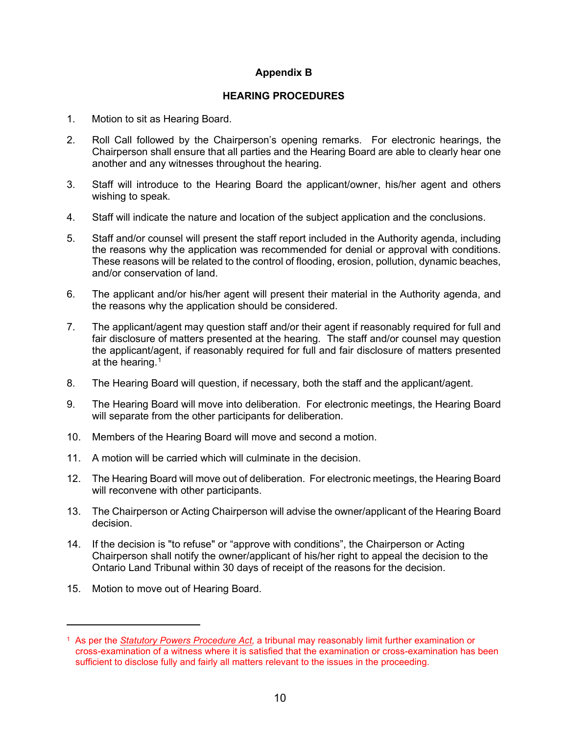#### **Appendix B**

#### **HEARING PROCEDURES**

- 1. Motion to sit as Hearing Board.
- 2. Roll Call followed by the Chairperson's opening remarks. For electronic hearings, the Chairperson shall ensure that all parties and the Hearing Board are able to clearly hear one another and any witnesses throughout the hearing.
- 3. Staff will introduce to the Hearing Board the applicant/owner, his/her agent and others wishing to speak.
- 4. Staff will indicate the nature and location of the subject application and the conclusions.
- 5. Staff and/or counsel will present the staff report included in the Authority agenda, including the reasons why the application was recommended for denial or approval with conditions. These reasons will be related to the control of flooding, erosion, pollution, dynamic beaches, and/or conservation of land.
- 6. The applicant and/or his/her agent will present their material in the Authority agenda, and the reasons why the application should be considered.
- 7. The applicant/agent may question staff and/or their agent if reasonably required for full and fair disclosure of matters presented at the hearing. The staff and/or counsel may question the applicant/agent, if reasonably required for full and fair disclosure of matters presented at the hearing. $^\mathrm{1}$  $^\mathrm{1}$  $^\mathrm{1}$
- 8. The Hearing Board will question, if necessary, both the staff and the applicant/agent.
- 9. The Hearing Board will move into deliberation. For electronic meetings, the Hearing Board will separate from the other participants for deliberation.
- 10. Members of the Hearing Board will move and second a motion.
- 11. A motion will be carried which will culminate in the decision.
- 12. The Hearing Board will move out of deliberation. For electronic meetings, the Hearing Board will reconvene with other participants.
- 13. The Chairperson or Acting Chairperson will advise the owner/applicant of the Hearing Board decision.
- 14. If the decision is "to refuse" or "approve with conditions", the Chairperson or Acting Chairperson shall notify the owner/applicant of his/her right to appeal the decision to the Ontario Land Tribunal within 30 days of receipt of the reasons for the decision.
- 15. Motion to move out of Hearing Board.

<span id="page-12-0"></span><sup>1</sup> As per the *Statutory Powers Procedure Act,* a tribunal may reasonably limit further examination or cross-examination of a witness where it is satisfied that the examination or cross-examination has been sufficient to disclose fully and fairly all matters relevant to the issues in the proceeding.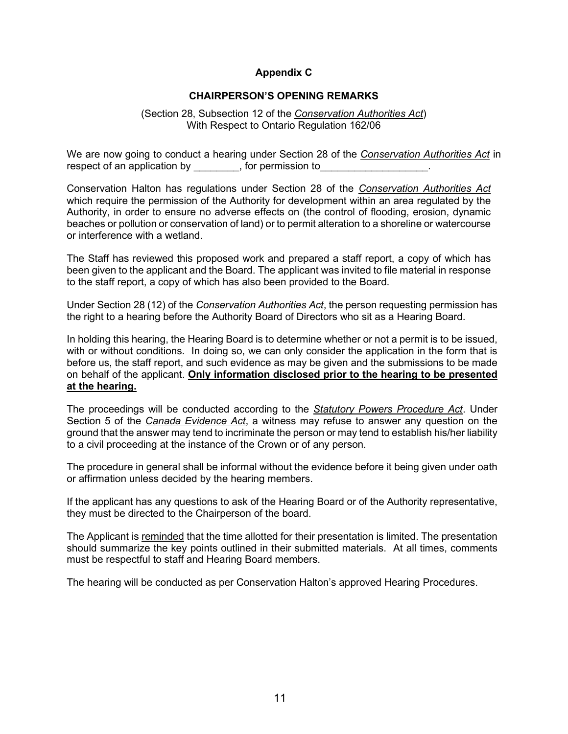#### **Appendix C**

#### **CHAIRPERSON'S OPENING REMARKS**

(Section 28, Subsection 12 of the *Conservation Authorities Act*) With Respect to Ontario Regulation 162/06

We are now going to conduct a hearing under Section 28 of the *Conservation Authorities Act* in respect of an application by example the permission to

Conservation Halton has regulations under Section 28 of the *Conservation Authorities Act* which require the permission of the Authority for development within an area regulated by the Authority, in order to ensure no adverse effects on (the control of flooding, erosion, dynamic beaches or pollution or conservation of land) or to permit alteration to a shoreline or watercourse or interference with a wetland.

The Staff has reviewed this proposed work and prepared a staff report, a copy of which has been given to the applicant and the Board. The applicant was invited to file material in response to the staff report, a copy of which has also been provided to the Board.

Under Section 28 (12) of the *Conservation Authorities Act*, the person requesting permission has the right to a hearing before the Authority Board of Directors who sit as a Hearing Board.

In holding this hearing, the Hearing Board is to determine whether or not a permit is to be issued, with or without conditions. In doing so, we can only consider the application in the form that is before us, the staff report, and such evidence as may be given and the submissions to be made on behalf of the applicant. **Only information disclosed prior to the hearing to be presented at the hearing.**

The proceedings will be conducted according to the *Statutory Powers Procedure Act*. Under Section 5 of the *Canada Evidence Act*, a witness may refuse to answer any question on the ground that the answer may tend to incriminate the person or may tend to establish his/her liability to a civil proceeding at the instance of the Crown or of any person.

The procedure in general shall be informal without the evidence before it being given under oath or affirmation unless decided by the hearing members.

If the applicant has any questions to ask of the Hearing Board or of the Authority representative, they must be directed to the Chairperson of the board.

The Applicant is reminded that the time allotted for their presentation is limited. The presentation should summarize the key points outlined in their submitted materials. At all times, comments must be respectful to staff and Hearing Board members.

The hearing will be conducted as per Conservation Halton's approved Hearing Procedures.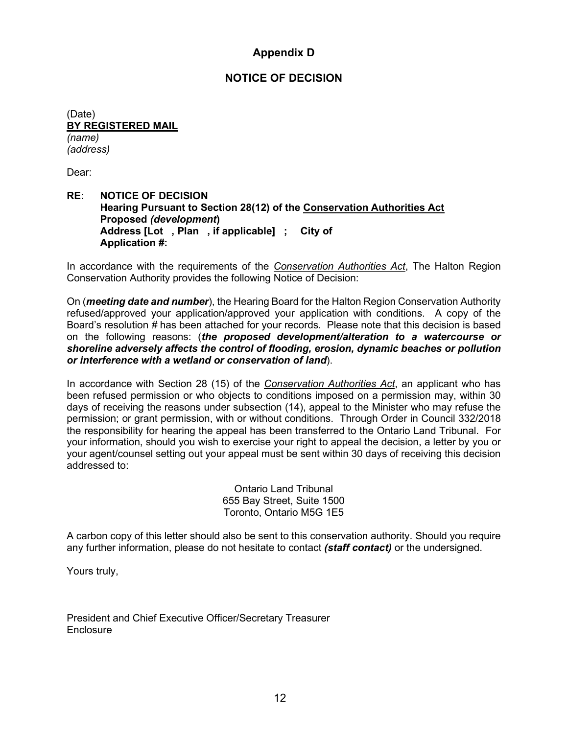## **Appendix D**

## **NOTICE OF DECISION**

(Date) **BY REGISTERED MAIL** *(name) (address)*

Dear:

#### **RE: NOTICE OF DECISION Hearing Pursuant to Section 28(12) of the Conservation Authorities Act Proposed** *(development***) Address [Lot , Plan , if applicable] ; City of Application #:**

In accordance with the requirements of the *Conservation Authorities Act*, The Halton Region Conservation Authority provides the following Notice of Decision:

On (*meeting date and number*), the Hearing Board for the Halton Region Conservation Authority refused/approved your application/approved your application with conditions. A copy of the Board's resolution *#* has been attached for your records*.* Please note that this decision is based on the following reasons: (*the proposed development/alteration to a watercourse or shoreline adversely affects the control of flooding, erosion, dynamic beaches or pollution or interference with a wetland or conservation of land*).

In accordance with Section 28 (15) of the *Conservation Authorities Act*, an applicant who has been refused permission or who objects to conditions imposed on a permission may, within 30 days of receiving the reasons under subsection (14), appeal to the Minister who may refuse the permission; or grant permission, with or without conditions. Through Order in Council 332/2018 the responsibility for hearing the appeal has been transferred to the Ontario Land Tribunal. For your information, should you wish to exercise your right to appeal the decision, a letter by you or your agent/counsel setting out your appeal must be sent within 30 days of receiving this decision addressed to:

> Ontario Land Tribunal 655 Bay Street, Suite 1500 Toronto, Ontario M5G 1E5

A carbon copy of this letter should also be sent to this conservation authority. Should you require any further information, please do not hesitate to contact *(staff contact)* or the undersigned.

Yours truly,

President and Chief Executive Officer/Secretary Treasurer **Enclosure**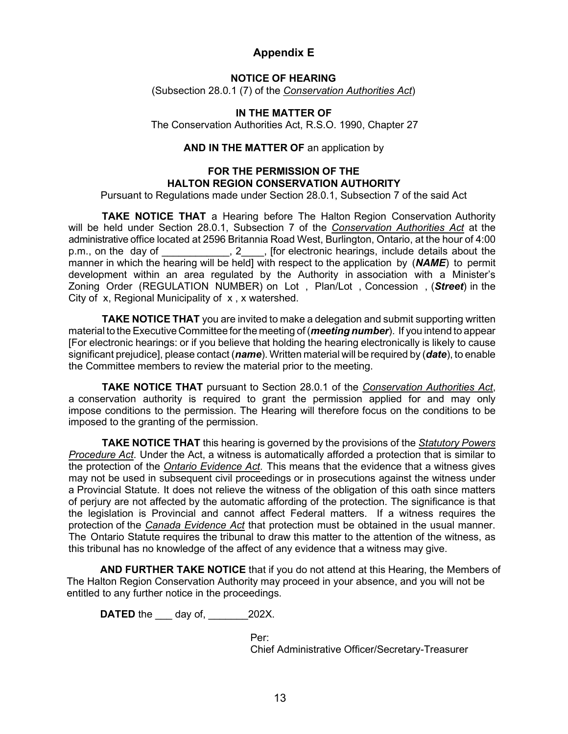## **Appendix E**

#### **NOTICE OF HEARING**

(Subsection 28.0.1 (7) of the *Conservation Authorities Act*)

#### **IN THE MATTER OF**

The Conservation Authorities Act, R.S.O. 1990, Chapter 27

#### **AND IN THE MATTER OF** an application by

#### **FOR THE PERMISSION OF THE HALTON REGION CONSERVATION AUTHORITY**

Pursuant to Regulations made under Section 28.0.1, Subsection 7 of the said Act

**TAKE NOTICE THAT** a Hearing before The Halton Region Conservation Authority will be held under Section 28.0.1, Subsection 7 of the *Conservation Authorities Act* at the administrative office located at 2596 Britannia Road West, Burlington, Ontario, at the hour of 4:00 p.m., on the day of \_\_\_\_\_\_\_\_\_\_, 2\_\_\_, [for electronic hearings, include details about the manner in which the hearing will be held] with respect to the application by (*NAME*) to permit development within an area regulated by the Authority in association with a Minister's Zoning Order (REGULATION NUMBER) on Lot , Plan/Lot , Concession , (*Street*) in the City of x, Regional Municipality of x , x watershed.

**TAKE NOTICE THAT** you are invited to make a delegation and submit supporting written material to the Executive Committee for the meeting of (*meeting number*). If you intend to appear [For electronic hearings: or if you believe that holding the hearing electronically is likely to cause significant prejudice], please contact (*name*). Written material will be required by (*date*), to enable the Committee members to review the material prior to the meeting.

**TAKE NOTICE THAT** pursuant to Section 28.0.1 of the *Conservation Authorities Act*, a conservation authority is required to grant the permission applied for and may only impose conditions to the permission. The Hearing will therefore focus on the conditions to be imposed to the granting of the permission.

**TAKE NOTICE THAT** this hearing is governed by the provisions of the *Statutory Powers Procedure Act*. Under the Act, a witness is automatically afforded a protection that is similar to the protection of the *Ontario Evidence Act*. This means that the evidence that a witness gives may not be used in subsequent civil proceedings or in prosecutions against the witness under a Provincial Statute. It does not relieve the witness of the obligation of this oath since matters of perjury are not affected by the automatic affording of the protection. The significance is that the legislation is Provincial and cannot affect Federal matters. If a witness requires the protection of the *Canada Evidence Act* that protection must be obtained in the usual manner. The Ontario Statute requires the tribunal to draw this matter to the attention of the witness, as this tribunal has no knowledge of the affect of any evidence that a witness may give.

**AND FURTHER TAKE NOTICE** that if you do not attend at this Hearing, the Members of The Halton Region Conservation Authority may proceed in your absence, and you will not be entitled to any further notice in the proceedings.

**DATED** the <u>canal</u> day of, 202X.

Per: Chief Administrative Officer/Secretary-Treasurer